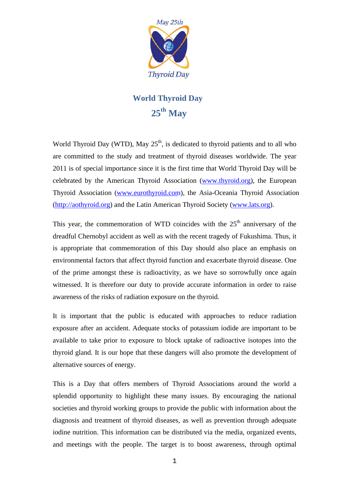

## **World Thyroid Day**  25<sup>th</sup> May

World Thyroid Day (WTD), May  $25<sup>th</sup>$ , is dedicated to thyroid patients and to all who are committed to the study and treatment of thyroid diseases worldwide. The year 2011 is of special importance since it is the first time that World Thyroid Day will be celebrated by the American Thyroid Association [\(www.thyroid.org](http://www.thyroid.org/)), the European Thyroid Association [\(www.eurothyroid.](http://www.eurothyroid.com/)com), the Asia-Oceania Thyroid Association ([http://aothyroid.org\)](http://aothyroid.org/) and the Latin American Thyroid Society ([www.lats.org\)](http://www.lats.org/).

This year, the commemoration of WTD coincides with the  $25<sup>th</sup>$  anniversary of the dreadful Chernobyl accident as well as with the recent tragedy of Fukushima. Thus, it is appropriate that commemoration of this Day should also place an emphasis on environmental factors that affect thyroid function and exacerbate thyroid disease. One of the prime amongst these is radioactivity, as we have so sorrowfully once again witnessed. It is therefore our duty to provide accurate information in order to raise awareness of the risks of radiation exposure on the thyroid.

It is important that the public is educated with approaches to reduce radiation exposure after an accident. Adequate stocks of potassium iodide are important to be available to take prior to exposure to block uptake of radioactive isotopes into the thyroid gland. It is our hope that these dangers will also promote the development of alternative sources of energy.

This is a Day that offers members of Thyroid Associations around the world a splendid opportunity to highlight these many issues. By encouraging the national societies and thyroid working groups to provide the public with information about the diagnosis and treatment of thyroid diseases, as well as prevention through adequate iodine nutrition. This information can be distributed via the media, organized events, and meetings with the people. The target is to boost awareness, through optimal